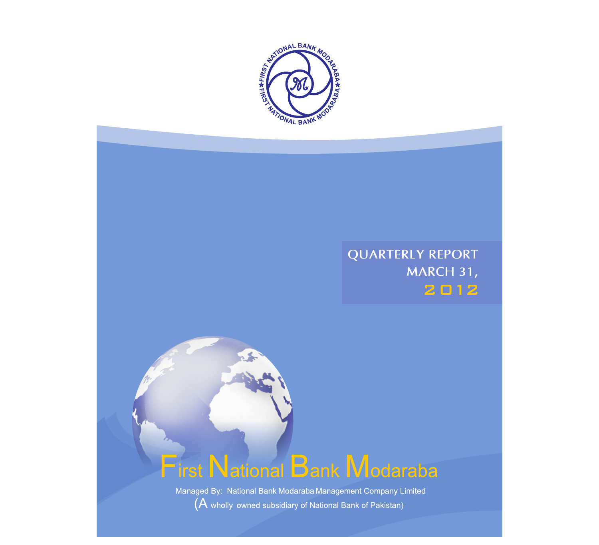

## **QUARTERLY REPORT MARCH 31,**2012

# First National Bank Modaraba

Managed By: National Bank Modaraba Management Company Limited  $(A$  wholly owned subsidiary of National Bank of Pakistan)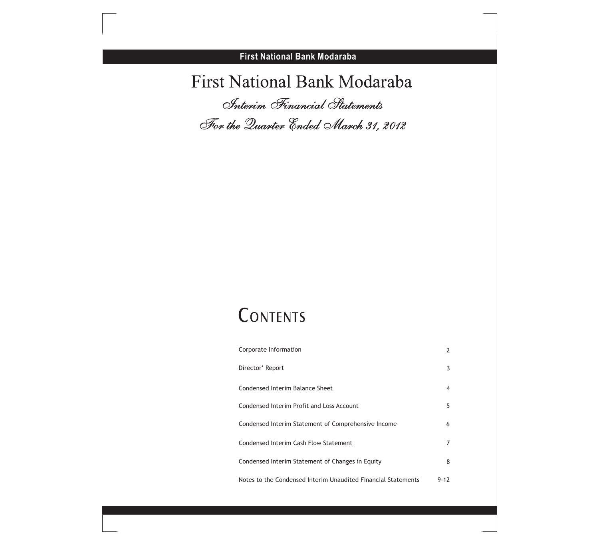## First National Bank Modaraba *Interim Financial Statements*

*For the Quarter Ended March 31, 2012*

## CONTENTS

| Corporate Information                                         | 2        |
|---------------------------------------------------------------|----------|
| Director' Report                                              | 3        |
| Condensed Interim Balance Sheet                               | 4        |
| Condensed Interim Profit and Loss Account                     | 5        |
| Condensed Interim Statement of Comprehensive Income           | 6        |
| Condensed Interim Cash Flow Statement                         |          |
| Condensed Interim Statement of Changes in Equity              | 8        |
| Notes to the Condensed Interim Unaudited Financial Statements | $9 - 17$ |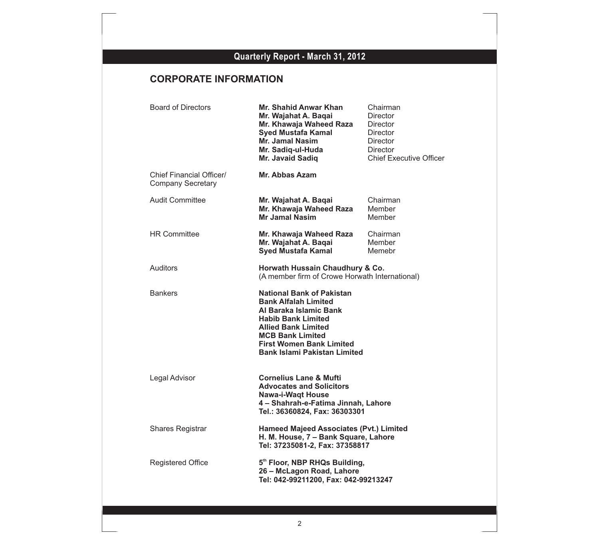## **CORPORATE INFORMATION**

| <b>Board of Directors</b>                            | Mr. Shahid Anwar Khan<br>Mr. Wajahat A. Baqai<br>Mr. Khawaja Waheed Raza<br><b>Syed Mustafa Kamal</b><br>Mr. Jamal Nasim<br>Mr. Sadiq-ul-Huda<br>Mr. Javaid Sadiq                                                                                         | Chairman<br>Director<br><b>Director</b><br>Director<br><b>Director</b><br><b>Director</b><br><b>Chief Executive Officer</b> |
|------------------------------------------------------|-----------------------------------------------------------------------------------------------------------------------------------------------------------------------------------------------------------------------------------------------------------|-----------------------------------------------------------------------------------------------------------------------------|
| Chief Financial Officer/<br><b>Company Secretary</b> | Mr. Abbas Azam                                                                                                                                                                                                                                            |                                                                                                                             |
| Audit Committee                                      | Mr. Wajahat A. Baqai<br>Mr. Khawaja Waheed Raza<br><b>Mr Jamal Nasim</b>                                                                                                                                                                                  | Chairman<br>Member<br>Member                                                                                                |
| <b>HR Committee</b>                                  | Mr. Khawaja Waheed Raza<br>Mr. Wajahat A. Baqai<br><b>Syed Mustafa Kamal</b>                                                                                                                                                                              | Chairman<br>Member<br>Memebr                                                                                                |
| <b>Auditors</b>                                      | Horwath Hussain Chaudhury & Co.<br>(A member firm of Crowe Horwath International)                                                                                                                                                                         |                                                                                                                             |
| <b>Bankers</b>                                       | <b>National Bank of Pakistan</b><br><b>Bank Alfalah Limited</b><br>Al Baraka Islamic Bank<br><b>Habib Bank Limited</b><br><b>Allied Bank Limited</b><br><b>MCB Bank Limited</b><br><b>First Women Bank Limited</b><br><b>Bank Islami Pakistan Limited</b> |                                                                                                                             |
| Legal Advisor                                        | <b>Cornelius Lane &amp; Mufti</b><br><b>Advocates and Solicitors</b><br><b>Nawa-i-Waqt House</b><br>4 - Shahrah-e-Fatima Jinnah, Lahore<br>Tel.: 36360824, Fax: 36303301                                                                                  |                                                                                                                             |
| <b>Shares Registrar</b>                              | <b>Hameed Majeed Associates (Pvt.) Limited</b><br>H. M. House, 7 - Bank Square, Lahore<br>Tel: 37235081-2, Fax: 37358817                                                                                                                                  |                                                                                                                             |
| <b>Registered Office</b>                             | 5th Floor, NBP RHQs Building,<br>26 - McLagon Road, Lahore<br>Tel: 042-99211200, Fax: 042-99213247                                                                                                                                                        |                                                                                                                             |
|                                                      |                                                                                                                                                                                                                                                           |                                                                                                                             |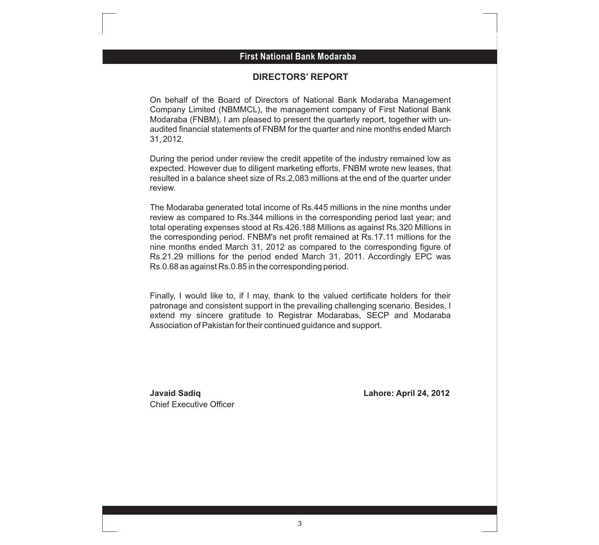#### **First National Bank Modaraba First National Bank Modaraba**

#### **DIRECTORS' REPORT**

On behalf of the Board of Directors of National Bank Modaraba Management Company Limited (NBMMCL), the management company of First National Bank Modaraba (FNBM), I am pleased to present the quarterly report, together with unaudited financial statements of FNBM for the quarter and nine months ended March 31, 2012.

During the period under review the credit appetite of the industry remained low as expected. However due to diligent marketing efforts, FNBM wrote new leases, that resulted in a balance sheet size of Rs.2,083 millions at the end of the quarter under review.

The Modaraba generated total income of Rs.445 millions in the nine months under review as compared to Rs.344 millions in the corresponding period last year; and total operating expenses stood at Rs.426.188 Millions as against Rs.320 Millions in the corresponding period. FNBM's net profit remained at Rs.17.11 millions for the nine months ended March 31, 2012 as compared to the corresponding figure of Rs.21.29 millions for the period ended March 31, 2011. Accordingly EPC was Rs.0.68 as against Rs.0.85 in the corresponding period.

Finally, I would like to, if I may, thank to the valued certificate holders for their patronage and consistent support in the prevailing challenging scenario. Besides, I extend my sincere gratitude to Registrar Modarabas, SECP and Modaraba Association of Pakistan for their continued guidance and support.

Chief Executive Officer

**Javaid Sadiq Lahore: April 24, 2012**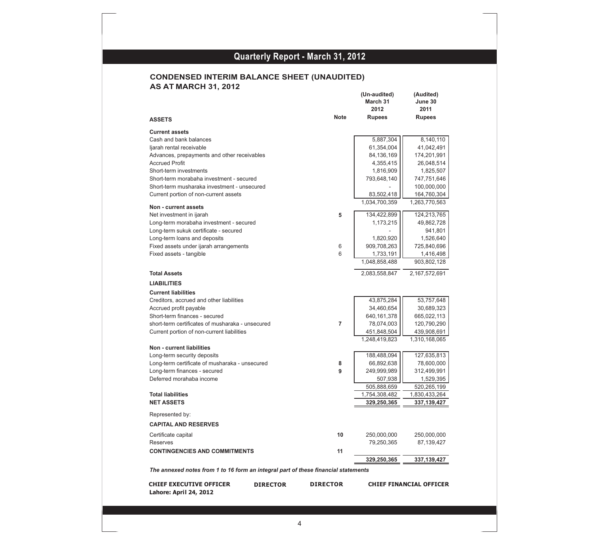#### **CONDENSED INTERIM BALANCE SHEET (UNAUDITED) AS AT MARCH 31, 2012**

| <b>ASSETS</b>                                                                      | <b>Note</b>     | (Un-audited)<br>March 31<br>2012<br><b>Rupees</b> | (Audited)<br>June 30<br>2011<br><b>Rupees</b> |
|------------------------------------------------------------------------------------|-----------------|---------------------------------------------------|-----------------------------------------------|
| <b>Current assets</b>                                                              |                 |                                                   |                                               |
| Cash and bank balances                                                             |                 | 5,887,304                                         | 8,140,110                                     |
| ljarah rental receivable                                                           |                 | 61,354,004                                        | 41,042,491                                    |
| Advances, prepayments and other receivables                                        |                 | 84,136,169                                        | 174,201,991                                   |
| <b>Accrued Profit</b>                                                              |                 | 4,355,415                                         | 26,048,514                                    |
| Short-term investments                                                             |                 | 1,816,909                                         | 1,825,507                                     |
| Short-term morabaha investment - secured                                           |                 | 793,648,140                                       | 747,751,646                                   |
| Short-term musharaka investment - unsecured                                        |                 |                                                   | 100,000,000                                   |
| Current portion of non-current assets                                              |                 | 83,502,418                                        | 164,760,304                                   |
|                                                                                    |                 | 1,034,700,359                                     | 1,263,770,563                                 |
| Non - current assets                                                               |                 |                                                   |                                               |
| Net investment in ijarah                                                           | 5               | 134,422,899                                       | 124,213,765                                   |
| Long-term morabaha investment - secured                                            |                 | 1,173,215                                         | 49,862,728                                    |
| Long-term sukuk certificate - secured                                              |                 |                                                   | 941,801                                       |
| Long-term loans and deposits                                                       |                 | 1,820,920                                         | 1,526,640                                     |
| Fixed assets under ijarah arrangements                                             | 6               | 909,708,263                                       | 725,840,696                                   |
| Fixed assets - tangible                                                            | 6               | 1,733,191                                         | 1,416,498                                     |
|                                                                                    |                 | 1,048,858,488                                     | 903,802,128                                   |
| <b>Total Assets</b>                                                                |                 | 2,083,558,847                                     | 2,167,572,691                                 |
| <b>LIABILITIES</b>                                                                 |                 |                                                   |                                               |
| <b>Current liabilities</b>                                                         |                 |                                                   |                                               |
| Creditors, accrued and other liabilities                                           |                 | 43,875,284                                        | 53,757,648                                    |
| Accrued profit payable                                                             |                 | 34,460,654                                        | 30,689,323                                    |
| Short-term finances - secured                                                      |                 | 640,161,378                                       | 665,022,113                                   |
| short-term certificates of musharaka - unsecured                                   | $\overline{7}$  | 78,074,003                                        | 120,790,290                                   |
| Current portion of non-current liabilities                                         |                 | 451,848,504                                       | 439,908,691                                   |
|                                                                                    |                 | 1,248,419,823                                     | 1,310,168,065                                 |
| <b>Non - current liabilities</b>                                                   |                 |                                                   |                                               |
| Long-term security deposits                                                        |                 | 188,488,094                                       | 127,635,813                                   |
| Long-term certificate of musharaka - unsecured                                     | 8               | 66,892,638                                        | 78,600,000                                    |
| Long-term finances - secured                                                       | 9               | 249,999,989                                       | 312,499,991                                   |
| Deferred morahaba income                                                           |                 | 507,938                                           | 1,529,395                                     |
|                                                                                    |                 | 505,888,659                                       | 520,265,199                                   |
| <b>Total liabilities</b>                                                           |                 | 1,754,308,482                                     | 1,830,433,264                                 |
| <b>NET ASSETS</b>                                                                  |                 | 329,250,365                                       | 337, 139, 427                                 |
| Represented by:                                                                    |                 |                                                   |                                               |
| <b>CAPITAL AND RESERVES</b>                                                        |                 |                                                   |                                               |
| Certificate capital                                                                | 10              | 250,000,000                                       | 250,000,000                                   |
| Reserves                                                                           |                 | 79,250,365                                        | 87,139,427                                    |
| <b>CONTINGENCIES AND COMMITMENTS</b>                                               | 11              |                                                   |                                               |
|                                                                                    |                 | 329,250,365                                       | 337, 139, 427                                 |
| The annexed notes from 1 to 16 form an integral part of these financial statements |                 |                                                   |                                               |
|                                                                                    |                 |                                                   |                                               |
| <b>CHIEF EXECUTIVE OFFICER</b><br><b>DIRECTOR</b><br>Lahore: April 24, 2012        | <b>DIRECTOR</b> |                                                   | <b>CHIEF FINANCIAL OFFICER</b>                |

l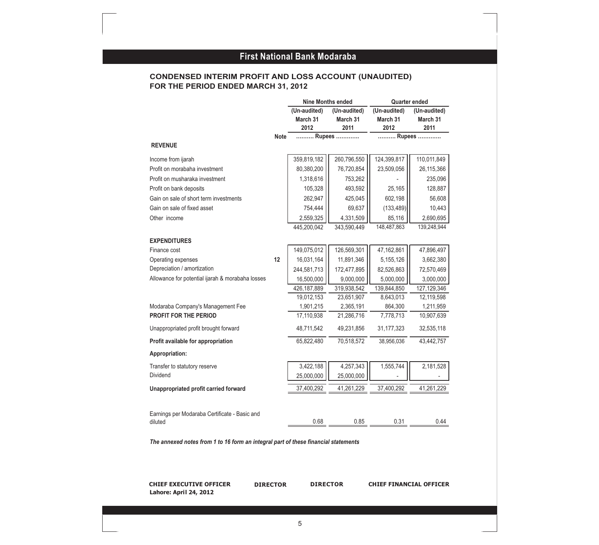#### **FOR THE PERIOD ENDED MARCH 31, 2012 CONDENSED INTERIM PROFIT AND LOSS ACCOUNT (UNAUDITED)**

|                                                                                    |                 | <b>Nine Months ended</b>         |                                  |                                  | <b>Quarter ended</b>             |
|------------------------------------------------------------------------------------|-----------------|----------------------------------|----------------------------------|----------------------------------|----------------------------------|
|                                                                                    |                 | (Un-audited)<br>March 31<br>2012 | (Un-audited)<br>March 31<br>2011 | (Un-audited)<br>March 31<br>2012 | (Un-audited)<br>March 31<br>2011 |
|                                                                                    | Note            |                                  | Rupees                           |                                  | Rupees                           |
| <b>REVENUE</b>                                                                     |                 |                                  |                                  |                                  |                                  |
| Income from ijarah                                                                 |                 | 359,819,182                      | 260,796,550                      | 124,399,817                      | 110,011,849                      |
| Profit on morabaha investment                                                      |                 | 80,380,200                       | 76,720,854                       | 23,509,056                       | 26,115,366                       |
| Profit on musharaka investment                                                     |                 | 1,318,616                        | 753,262                          |                                  | 235,096                          |
| Profit on bank deposits                                                            |                 | 105,328                          | 493,592                          | 25,165                           | 128,887                          |
| Gain on sale of short term investments                                             |                 | 262,947                          | 425,045                          | 602,198                          | 56,608                           |
| Gain on sale of fixed asset                                                        |                 | 754,444                          | 69,637                           | (133, 489)                       | 10,443                           |
| Other income                                                                       |                 | 2,559,325                        | 4,331,509                        | 85,116                           | 2,690,695                        |
|                                                                                    |                 | 445,200,042                      | 343,590,449                      | 148,487,863                      | 139,248,944                      |
|                                                                                    |                 |                                  |                                  |                                  |                                  |
| <b>EXPENDITURES</b>                                                                |                 |                                  |                                  |                                  |                                  |
| Finance cost                                                                       | 12              | 149,075,012                      | 126,569,301                      | 47,162,861                       | 47,896,497                       |
| Operating expenses<br>Depreciation / amortization                                  |                 | 16,031,164                       | 11,891,346                       | 5,155,126                        | 3,662,380                        |
| Allowance for potential ijarah & morabaha losses                                   |                 | 244,581,713                      | 172,477,895                      | 82,526,863                       | 72,570,469                       |
|                                                                                    |                 | 16,500,000                       | 9,000,000                        | 5,000,000                        | 3,000,000                        |
|                                                                                    |                 | 426, 187, 889<br>19,012,153      | 319,938,542<br>23,651,907        | 139,844,850<br>8,643,013         | 127, 129, 346<br>12,119,598      |
| Modaraba Company's Management Fee                                                  |                 | 1,901,215                        | 2,365,191                        | 864,300                          | 1,211,959                        |
| PROFIT FOR THE PERIOD                                                              |                 | 17,110,938                       | 21,286,716                       | 7,778,713                        | 10,907,639                       |
| Unappropriated profit brought forward                                              |                 | 48,711,542                       | 49,231,856                       | 31, 177, 323                     | 32,535,118                       |
| Profit available for appropriation                                                 |                 | 65,822,480                       | 70,518,572                       | 38,956,036                       | 43,442,757                       |
| Appropriation:                                                                     |                 |                                  |                                  |                                  |                                  |
| Transfer to statutory reserve                                                      |                 | 3,422,188                        | 4,257,343                        | 1,555,744                        | 2,181,528                        |
| Dividend                                                                           |                 | 25,000,000                       | 25,000,000                       |                                  |                                  |
| Unappropriated profit carried forward                                              |                 | 37,400,292                       | 41,261,229                       | 37,400,292                       | 41,261,229                       |
| Earnings per Modaraba Certificate - Basic and                                      |                 |                                  |                                  |                                  |                                  |
| diluted                                                                            |                 | 0.68                             | 0.85                             | 0.31                             | 0.44                             |
| The annexed notes from 1 to 16 form an integral part of these financial statements |                 |                                  |                                  |                                  |                                  |
|                                                                                    |                 |                                  |                                  |                                  |                                  |
| <b>CHIEF EXECUTIVE OFFICER</b><br>Lahore: April 24, 2012                           | <b>DIRECTOR</b> | <b>DIRECTOR</b>                  |                                  | <b>CHIEF FINANCIAL OFFICER</b>   |                                  |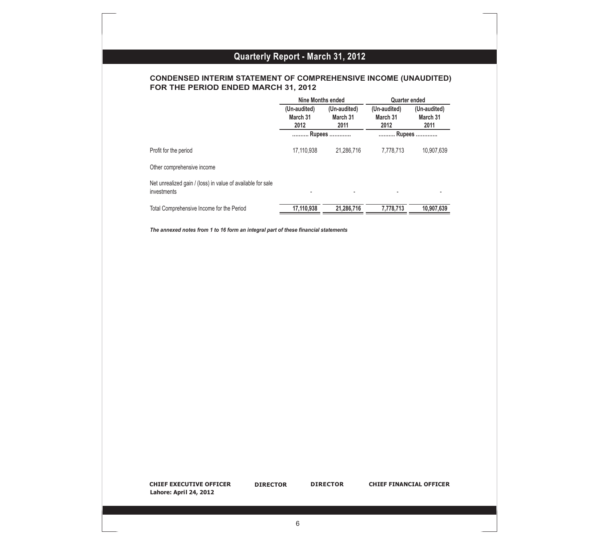#### **CONDENSED INTERIM STATEMENT OF COMPREHENSIVE INCOME (UNAUDITED) FOR THE PERIOD ENDED MARCH 31, 2012**

|                                                                                    | Nine Months ended                |                                               | Quarter ended                    |                                  |
|------------------------------------------------------------------------------------|----------------------------------|-----------------------------------------------|----------------------------------|----------------------------------|
|                                                                                    | (Un-audited)<br>March 31<br>2012 | $\overline{(Un-audited)}$<br>March 31<br>2011 | (Un-audited)<br>March 31<br>2012 | (Un-audited)<br>March 31<br>2011 |
|                                                                                    | Rupees                           |                                               | Rupees                           |                                  |
| Profit for the period                                                              | 17,110,938                       | 21,286,716                                    | 7,778,713                        | 10,907,639                       |
| Other comprehensive income                                                         |                                  |                                               |                                  |                                  |
| Net unrealized gain / (loss) in value of available for sale<br>investments         |                                  |                                               |                                  |                                  |
| Total Comprehensive Income for the Period                                          | 17,110,938                       | 21,286,716                                    | 7,778,713                        | 10,907,639                       |
| The annexed notes from 1 to 16 form an integral part of these financial statements |                                  |                                               |                                  |                                  |
|                                                                                    |                                  |                                               |                                  |                                  |
|                                                                                    |                                  |                                               |                                  |                                  |
|                                                                                    |                                  |                                               |                                  |                                  |
|                                                                                    |                                  |                                               |                                  |                                  |
|                                                                                    |                                  |                                               |                                  |                                  |
|                                                                                    |                                  |                                               |                                  |                                  |

**CHIEF EXECUTIVE OFFICER Lahore: April 24, 2012**

**DIRECTOR** 

**DIRECTOR DIRECTOR CHIEF FINANCIAL OFFICER**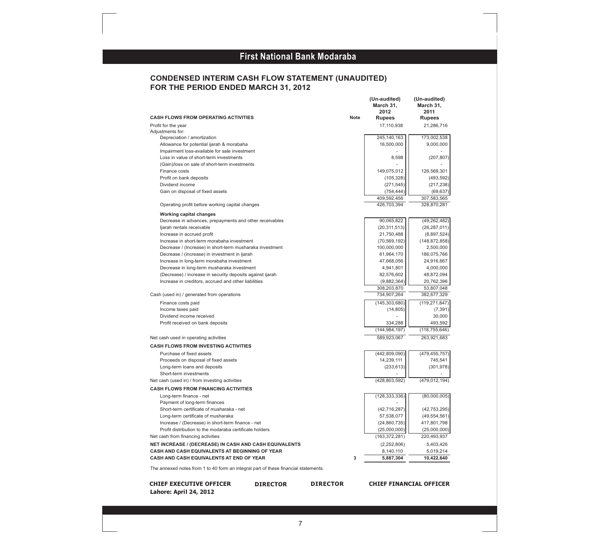#### **CONDENSED INTERIM CASH FLOW STATEMENT (UNAUDITED) FOR THE PERIOD ENDED MARCH 31, 2012**

|                                                                                                                      |             | March 31,       | March 31,       |
|----------------------------------------------------------------------------------------------------------------------|-------------|-----------------|-----------------|
|                                                                                                                      |             | 2012            | 2011            |
| <b>CASH FLOWS FROM OPERATING ACTIVITIES</b>                                                                          | <b>Note</b> | <b>Rupees</b>   | <b>Rupees</b>   |
| Profit for the year                                                                                                  |             | 17,110,938      | 21,286,716      |
| Adjustments for:<br>Depreciation / amortization                                                                      |             | 245,140,163     | 173,002,538     |
| Allowance for potential ijarah & morabaha                                                                            |             | 16,500,000      | 9,000,000       |
| Impairment loss-available for sale investment                                                                        |             |                 |                 |
| Loss in value of short-term investments                                                                              |             | 8,598           | (207, 807)      |
| (Gain)/loss on sale of short-term investments                                                                        |             |                 |                 |
| Finance costs                                                                                                        |             | 149,075,012     | 126,569,301     |
| Profit on bank deposits                                                                                              |             | (105, 328)      | (493, 592)      |
| Dividend income                                                                                                      |             | (271, 545)      | (217, 238)      |
| Gain on disposal of fixed assets                                                                                     |             | (754, 444)      | (69, 637)       |
|                                                                                                                      |             | 409,592,456     | 307,583,565     |
| Operating profit before working capital changes                                                                      |             | 426,703,394     | 328,870,281     |
|                                                                                                                      |             |                 |                 |
| <b>Working capital changes</b>                                                                                       |             |                 |                 |
| Decrease in advances, prepayments and other receivables                                                              |             | 90,065,822      | (49, 262, 482)  |
| ljarah rentals receivable                                                                                            |             | (20, 311, 513)  | (26, 287, 011)  |
| Increase in accrued profit                                                                                           |             | 21,750,488      | (8,897,524)     |
| Increase in short-term morabaha investment                                                                           |             | (70, 569, 192)  | (148, 872, 858) |
| Decrease / (Increase) in short-term musharaka investment                                                             |             | 100,000,000     | 2,500,000       |
| Decrease / (increase) in investment in ijarah                                                                        |             | 61,964,170      | 186,075,766     |
| Increase in long-term morabaha investment                                                                            |             | 47,668,056      | 24,916,667      |
| Decrease in long-term musharaka investment                                                                           |             | 4,941,801       | 4,000,000       |
| (Decrease) / increase in security deposits against ijarah                                                            |             | 82,576,602      | 48,872,094      |
| Increase in creditors, accrued and other liabilities                                                                 |             | (9,882,364)     | 20,762,396      |
|                                                                                                                      |             | 308,203,870     | 53,807,048      |
| Cash (used in) / generated from operations                                                                           |             | 734,907,264     | 382,677,329     |
| Finance costs paid                                                                                                   |             | (145, 303, 680) | (119,271,847)   |
| Income taxes paid                                                                                                    |             | (14, 805)       | (7, 391)        |
| Dividend income received                                                                                             |             |                 | 30,000          |
| Profit received on bank deposits                                                                                     |             | 334,288         | 493,592         |
|                                                                                                                      |             | (144, 984, 197) | (118, 755, 646) |
| Net cash used in operating activities                                                                                |             | 589,923,067     | 263,921,683     |
| <b>CASH FLOWS FROM INVESTING ACTIVITIES</b>                                                                          |             |                 |                 |
| Purchase of fixed assets                                                                                             |             | (442, 809, 090) | (479,455,757)   |
| Proceeds on disposal of fixed assets                                                                                 |             | 14,239,111      | 745,541         |
| Long-term loans and deposits                                                                                         |             | (233, 613)      | (301, 978)      |
| Short-term investments                                                                                               |             |                 |                 |
| Net cash (used in) / from investing activities                                                                       |             | (428, 803, 592) | (479,012,194)   |
| <b>CASH FLOWS FROM FINANCING ACTIVITIES</b>                                                                          |             |                 |                 |
| Long-term finance - net                                                                                              |             | (128, 333, 336) | (80,000,005)    |
| Payment of long-term finances                                                                                        |             |                 |                 |
| Short-term certificate of musharaka - net                                                                            |             | (42, 716, 287)  | (42, 753, 295)  |
| Long-term certificate of musharaka                                                                                   |             | 57,538,077      | (49, 554, 561)  |
| Increase / (Decrease) in short-term finance - net                                                                    |             | (24, 860, 735)  | 417,801,798     |
| Profit distribution to the modaraba certificate holders                                                              |             | (25,000,000)    | (25,000,000)    |
| Net cash from financing activities                                                                                   |             | (163, 372, 281) | 220,493,937     |
| NET INCREASE / (DECREASE) IN CASH AND CASH EQUIVALENTS                                                               |             | (2,252,806)     | 5,403,426       |
| CASH AND CASH EQUIVALENTS AT BEGINNING OF YEAR                                                                       |             | 8,140,110       | 5,019,214       |
| CASH AND CASH EQUIVALENTS AT END OF YEAR                                                                             | 3           | 5,887,304       | 10,422,640      |
| and contains for constitution of the constant of the constant of the constant of the constant of the constant of the |             |                 |                 |

The annexed notes from 1 to 40 form an integral part of these financial statements.

**CHIEF EXECUTIVE OFFICER Lahore: April 24, 2012**

**DIRECTOR** 

**DIRECTOR DIRECTOR CHIEF FINANCIAL OFFICER**

**(Un-audited) (Un-audited)**

Į,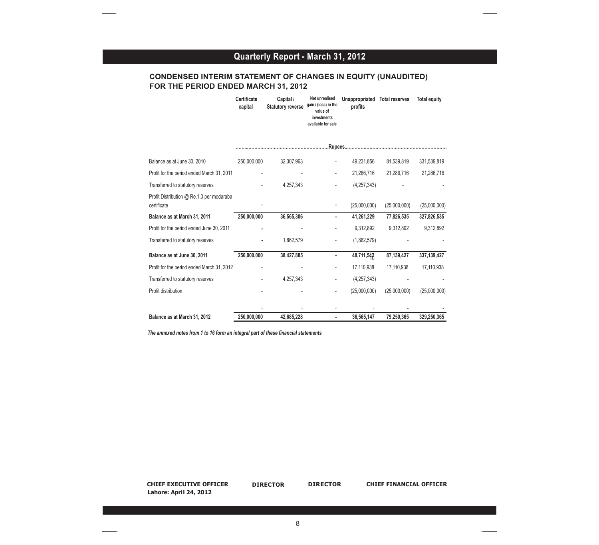#### **CONDENSED INTERIM STATEMENT OF CHANGES IN EQUITY (UNAUDITED) FOR THE PERIOD ENDED MARCH 31, 2012**

|                                                          | <b>Certificate</b><br>capital | Capital /<br><b>Statutory reverse</b> | Net unrealised<br>gain / (loss) in the<br>value of<br>investments<br>available for sale | Unappropriated<br>profits | <b>Total reserves</b> | <b>Total equity</b> |
|----------------------------------------------------------|-------------------------------|---------------------------------------|-----------------------------------------------------------------------------------------|---------------------------|-----------------------|---------------------|
|                                                          |                               |                                       |                                                                                         |                           |                       |                     |
| Balance as at June 30, 2010                              | 250,000,000                   | 32,307,963                            |                                                                                         | 49,231,856                | 81,539,819            | 331,539,819         |
| Profit for the period ended March 31, 2011               |                               |                                       |                                                                                         | 21,286,716                | 21,286,716            | 21,286,716          |
| Transferred to statutory reserves                        |                               | 4,257,343                             |                                                                                         | (4, 257, 343)             |                       |                     |
| Profit Distribution @ Re.1.0 per modaraba<br>certificate |                               |                                       |                                                                                         | (25,000,000)              | (25,000,000)          | (25,000,000)        |
| Balance as at March 31, 2011                             | 250,000,000                   | 36,565,306                            | ٠                                                                                       | 41,261,229                | 77,826,535            | 327,826,535         |
| Profit for the period ended June 30, 2011                |                               |                                       |                                                                                         | 9,312,892                 | 9,312,892             | 9,312,892           |
| Transferred to statutory reserves                        |                               | 1,862,579                             |                                                                                         | (1,862,579)               |                       |                     |
| Balance as at June 30, 2011                              | 250,000,000                   | 38,427,885                            | ٠                                                                                       | 48,711,542                | 87,139,427            | 337,139,427         |
| Profit for the period ended March 31, 2012               |                               |                                       |                                                                                         | 17,110,938                | 17,110,938            | 17,110,938          |
| Transferred to statutory reserves                        |                               | 4,257,343                             | ٠                                                                                       | (4, 257, 343)             |                       |                     |
| Profit distribution                                      |                               |                                       |                                                                                         | (25,000,000)              | (25,000,000)          | (25,000,000)        |
|                                                          |                               |                                       |                                                                                         |                           |                       |                     |
| Balance as at March 31, 2012                             | 250,000,000                   | 42,685,228                            |                                                                                         | 36,565,147                | 79,250,365            | 329,250,365         |

*The annexed notes from 1 to 16 form an integral part of these financial statements*

**CHIEF EXECUTIVE OFFICER DIRECTOR DIRECTOR CHIEF FINANCIAL OFFICER Lahore: April 24, 2012**

**DIRECTOR**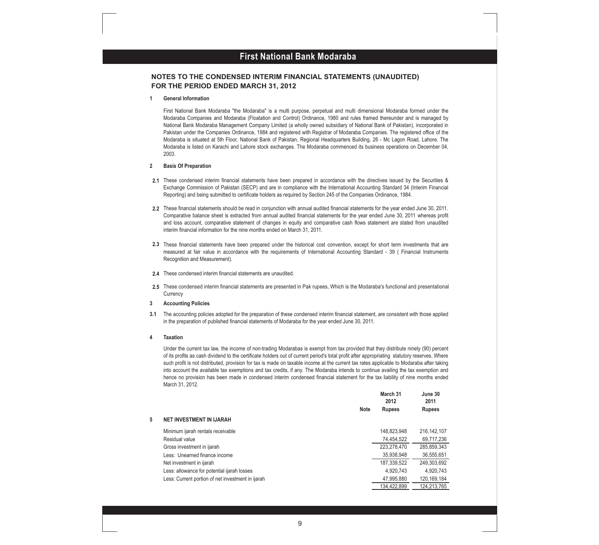#### **First National Bank Modaraba First National Bank Modaraba**

#### **NOTES TO THE CONDENSED INTERIM FINANCIAL STATEMENTS (UNAUDITED) FOR THE PERIOD ENDED MARCH 31, 2012**

#### **1 General Information**

First National Bank Modaraba "the Modaraba" is a multi purpose, perpetual and multi dimensional Modaraba formed under the Modaraba Companies and Modaraba (Floatation and Control) Ordinance, 1980 and rules framed thereunder and is managed by National Bank Modaraba Management Company Limited (a wholly owned subsidiary of National Bank of Pakistan), incorporated in Pakistan under the Companies Ordinance, 1984 and registered with Registrar of Modaraba Companies. The registered office of the Modaraba is situated at 5th Floor, National Bank of Pakistan, Regional Headquarters Building, 26 - Mc Lagon Road, Lahore. The Modaraba is listed on Karachi and Lahore stock exchanges. The Modaraba commenced its business operations on December 04, 2003.

#### **2 Basis Of Preparation**

- **2.1** These condensed interim financial statements have been prepared in accordance with the directives issued by the Securities & Exchange Commission of Pakistan (SECP) and are in compliance with the International Accounting Standard 34 (Interim Financial Reporting) and being submitted to certificate holders as required by Section 245 of the Companies Ordinance, 1984.
- **2.2** These financial statements should be read in conjunction with annual audited financial statements for the year ended June 30, 2011. Comparative balance sheet is extracted from annual audited financial statements for the year ended June 30, 2011 whereas profit and loss account, comparative statement of changes in equity and comparative cash flows statement are stated from unaudited interim financial information for the nine months ended on March 31, 2011.
- **2.3** These financial statements have been prepared under the historical cost convention, except for short term investments that are measured at fair value in accordance with the requirements of International Accounting Standard - 39 ( Financial Instruments Recognition and Measurement).
- **2.4** These condensed interim financial statements are unaudited.
- **2.5** These condensed interim financial statements are presented in Pak rupees, Which is the Modaraba's functional and presentational **Currency**
- **3 Accounting Policies**
- **3.1** The accounting policies adopted for the preparation of these condensed interim financial statement, are consistent with those applied in the preparation of published financial statements of Modaraba for the year ended June 30, 2011.

#### **4 Taxation**

Under the current tax law, the income of non-trading Modarabas is exempt from tax provided that they distribute ninety (90) percent of its profits as cash dividend to the certificate holders out of current period's total profit after appropriating statutory reserves. Where such profit is not distributed, provision for tax is made on taxable income at the current tax rates applicable to Modaraba after taking into account the available tax exemptions and tax credits, if any. The Modaraba intends to continue availing the tax exemption and hence no provision has been made in condensed interim condensed financial statement for the tax liability of nine months ended March 31, 2012.

|   |                                                   |             | March 31<br>2012 | June 30<br>2011 |
|---|---------------------------------------------------|-------------|------------------|-----------------|
|   |                                                   | <b>Note</b> | <b>Rupees</b>    | <b>Rupees</b>   |
| 5 | <b>NET INVESTMENT IN IJARAH</b>                   |             |                  |                 |
|   | Minimum ijarah rentals receivable                 |             | 148,823,948      | 216.142.107     |
|   | Residual value                                    |             | 74,454,522       | 69,717,236      |
|   | Gross investment in ijarah                        |             | 223,278,470      | 285,859,343     |
|   | Less: Unearned finance income                     |             | 35,938,948       | 36,555,651      |
|   | Net investment in ijarah                          |             | 187,339,522      | 249,303,692     |
|   | Less: allowance for potential ijarah losses       |             | 4.920.743        | 4.920.743       |
|   | Less: Current portion of net investment in ijarah |             | 47,995,880       | 120, 169, 184   |
|   |                                                   |             | 134 422 899      | 124 213 765     |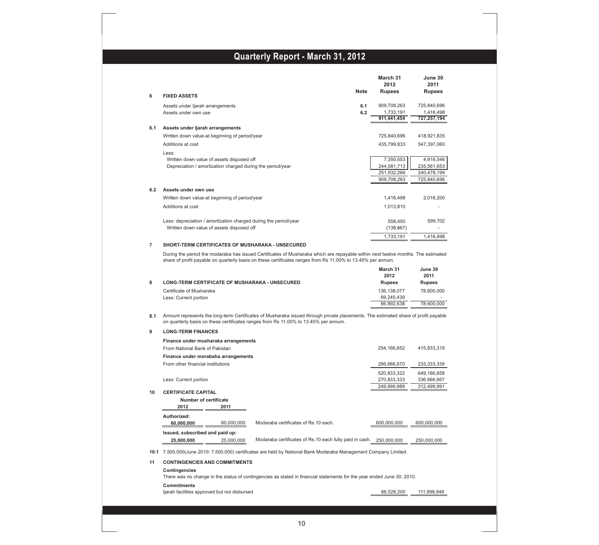|          |                                                                                                                                                                                                                                                        | March 31<br>2012           | June 30<br>2011            |
|----------|--------------------------------------------------------------------------------------------------------------------------------------------------------------------------------------------------------------------------------------------------------|----------------------------|----------------------------|
| 6        | <b>Note</b><br><b>FIXED ASSETS</b>                                                                                                                                                                                                                     | <b>Rupees</b>              | Rupees                     |
|          |                                                                                                                                                                                                                                                        |                            |                            |
|          | 6.1<br>Assets under ljarah arrangements<br>6.2<br>Assets under own use                                                                                                                                                                                 | 909,708,263<br>1,733,191   | 725,840,696<br>1,416,498   |
|          |                                                                                                                                                                                                                                                        | 911,441,454                | 727,257,194                |
| 6.1      | Assets under ljarah arrangements                                                                                                                                                                                                                       |                            |                            |
|          | Written down value-at beginning of period/year                                                                                                                                                                                                         | 725,840,696                | 418,921,835                |
|          | Additions at cost                                                                                                                                                                                                                                      | 435,799,833                | 547,397,060                |
|          |                                                                                                                                                                                                                                                        |                            |                            |
|          | Less:<br>Written down value of assets disposed off                                                                                                                                                                                                     | 7,350,553                  | 4,916,546                  |
|          | Depreciation / amortization charged during the period/year                                                                                                                                                                                             | 244,581,713                | 235,561,653                |
|          |                                                                                                                                                                                                                                                        | 251,932,266                | 240,478,199                |
|          |                                                                                                                                                                                                                                                        | 909,708,263                | 725,840,696                |
| 6.2      | Assets under own use                                                                                                                                                                                                                                   |                            |                            |
|          | Written down value-at beginning of period/year                                                                                                                                                                                                         | 1,416,498                  | 2,016,200                  |
|          | Additions at cost                                                                                                                                                                                                                                      | 1,013,810                  |                            |
|          |                                                                                                                                                                                                                                                        |                            |                            |
|          | Less: depreciation / amortization charged during the period/year                                                                                                                                                                                       | 558,450                    | 599,702                    |
|          | Written down value of assets disposed off                                                                                                                                                                                                              | (138, 667)                 |                            |
|          |                                                                                                                                                                                                                                                        | 1,733,191                  | 1,416,498                  |
| 7        | <b>SHORT-TERM CERTIFICATES OF MUSHARAKA - UNSECURED</b>                                                                                                                                                                                                |                            |                            |
|          | During the period the modaraba has issued Certificates of Musharaka which are repayable within next twelve months. The estimated<br>share of profit payable on quarterly basis on these certificates ranges from Rs 11.00% to 13.45% per annum.        |                            |                            |
|          |                                                                                                                                                                                                                                                        | March 31                   | June 30                    |
|          |                                                                                                                                                                                                                                                        | 2012                       | 2011                       |
| 8        | <b>LONG-TERM CERTIFICATE OF MUSHARAKA - UNSECURED</b>                                                                                                                                                                                                  | <b>Rupees</b>              | <b>Rupees</b>              |
|          |                                                                                                                                                                                                                                                        |                            |                            |
|          | Certificate of Musharaka                                                                                                                                                                                                                               | 136,138,077                | 78,600,000                 |
|          | Less: Current portion                                                                                                                                                                                                                                  | 69,245,439                 |                            |
|          |                                                                                                                                                                                                                                                        | 66,892,638                 | 78,600,000                 |
| 8.1<br>9 | Amount represents the long-term Certificates of Musharaka issued through private placements. The estimated share of profit payable<br>on quarterly basis on these certificates ranges from Rs 11.00% to 13.45% per annum.<br><b>LONG-TERM FINANCES</b> |                            |                            |
|          | Finance under musharaka arrangements                                                                                                                                                                                                                   |                            |                            |
|          | From National Bank of Pakistan                                                                                                                                                                                                                         | 254,166,652                | 415,833,319                |
|          | Finance under morabaha arrangements                                                                                                                                                                                                                    |                            |                            |
|          | From other financial institutions                                                                                                                                                                                                                      | 266,666,670                | 233,333,339                |
|          |                                                                                                                                                                                                                                                        |                            |                            |
|          | Less: Current portion                                                                                                                                                                                                                                  | 520,833,322<br>270,833,333 | 649,166,658<br>336,666,667 |
|          |                                                                                                                                                                                                                                                        | 249,999,989                | 312,499,991                |
|          | <b>CERTIFICATE CAPITAL</b>                                                                                                                                                                                                                             |                            |                            |
|          | <b>Number of certificate</b>                                                                                                                                                                                                                           |                            |                            |
| 10       | 2012<br>2011                                                                                                                                                                                                                                           |                            |                            |
|          | Authorized:                                                                                                                                                                                                                                            |                            |                            |
|          | 60,000,000<br>60,000,000<br>Modaraba certificates of Rs.10 each.                                                                                                                                                                                       | 600,000,000                | 600,000,000                |
|          | Issued, subscribed and paid up:                                                                                                                                                                                                                        |                            |                            |
|          | Modaraba certificates of Rs.10 each fully paid in cash.<br>25,000,000<br>25,000,000                                                                                                                                                                    | 250,000,000                | 250,000,000                |
|          | 10.1 7,500,000(June 2010: 7,500,000) certificates are held by National Bank Modaraba Management Company Limited.                                                                                                                                       |                            |                            |
|          |                                                                                                                                                                                                                                                        |                            |                            |
| 11       | <b>CONTINGENCIES AND COMMITMENTS</b>                                                                                                                                                                                                                   |                            |                            |
|          | Contingencies                                                                                                                                                                                                                                          |                            |                            |
|          | There was no change in the status of contingencies as stated in financial statements for the year ended June 30, 2010.                                                                                                                                 |                            |                            |
|          | <b>Commitments</b><br>ljarah facilities approved but not disbursed                                                                                                                                                                                     | 86,528,200                 | 111,998,949                |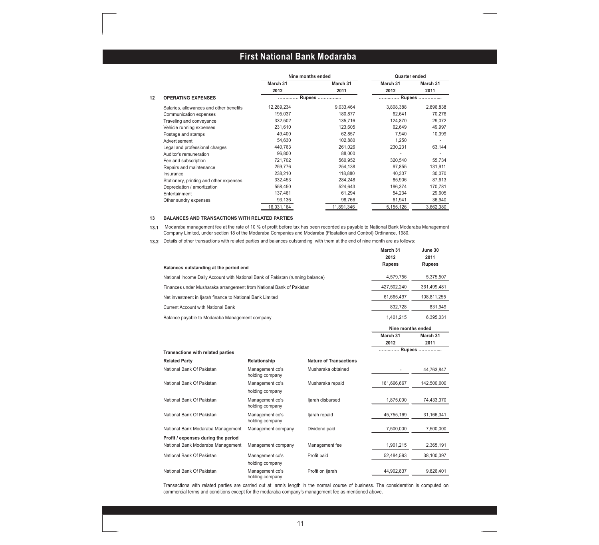|                                         | Nine months ended |            | Quarter ended |           |  |
|-----------------------------------------|-------------------|------------|---------------|-----------|--|
|                                         | March 31          | March 31   | March 31      | March 31  |  |
|                                         | 2012              | 2011       | 2012          | 2011      |  |
| 12<br><b>OPERATING EXPENSES</b>         |                   | Rupees     | Rupees        |           |  |
| Salaries, allowances and other benefits | 12,289,234        | 9,033,464  | 3,808,388     | 2,896,838 |  |
| Communication expenses                  | 195.037           | 180.877    | 62.641        | 70.276    |  |
| Traveling and conveyance                | 332,502           | 135,716    | 124,870       | 29,072    |  |
| Vehicle running expenses                | 231,610           | 123,605    | 62,649        | 49,997    |  |
| Postage and stamps                      | 49,400            | 62,857     | 7,940         | 10,399    |  |
| Advertisement                           | 54,630            | 102,880    | 1,250         |           |  |
| Legal and professional charges          | 440,763           | 261,026    | 230,231       | 63,144    |  |
| Auditor's remuneration                  | 96,800            | 88,000     |               |           |  |
| Fee and subscription                    | 721,702           | 560,952    | 320,540       | 55,734    |  |
| Repairs and maintenance                 | 259,776           | 254,138    | 97,855        | 131,911   |  |
| Insurance                               | 238.210           | 118,880    | 40.307        | 30,070    |  |
| Stationery, printing and other expenses | 332,453           | 284,248    | 85,906        | 87,613    |  |
| Depreciation / amortization             | 558,450           | 524,643    | 196,374       | 170,781   |  |
| Entertainment                           | 137,461           | 61,294     | 54,234        | 29,605    |  |
| Other sundry expenses                   | 93,136            | 98,766     | 61,941        | 36,940    |  |
|                                         | 16,031,164        | 11,891,346 | 5,155,126     | 3,662,380 |  |

#### **13 BALANCES AND TRANSACTIONS WITH RELATED PARTIES**

**13.1** Modaraba management fee at the rate of 10 % of profit before tax has been recorded as payable to National Bank Modaraba Management Company Limited, under section 18 of the Modaraba Companies and Modaraba (Floatation and Control) Ordinance, 1980.

**13.2** Details of other transactions with related parties and balances outstanding with them at the end of nine month are as follows:

|                                                                                | March 31<br>2012  | June 30<br>2011 |
|--------------------------------------------------------------------------------|-------------------|-----------------|
| Balances outstanding at the period end                                         | <b>Rupees</b>     | <b>Rupees</b>   |
| National Income Daily Account with National Bank of Pakistan (running balance) | 4.579.756         | 5.375.507       |
| Finances under Musharaka arrangement from National Bank of Pakistan            | 427,502,240       | 361,499,481     |
| Net investment in Ijarah finance to National Bank Limited                      | 61.665.497        | 108.811.255     |
| Current Account with National Bank                                             | 832.728           | 831.949         |
| Balance payable to Modaraba Management company                                 | 1.401.215         | 6.395.031       |
|                                                                                | Nine months ended |                 |

**March 31 March 31 2012 2011**

| <b>Transactions with related parties</b> |                                    |                               | Rupees      |             |
|------------------------------------------|------------------------------------|-------------------------------|-------------|-------------|
| <b>Related Party</b>                     | Relationship                       | <b>Nature of Transactions</b> |             |             |
| National Bank Of Pakistan                | Management co's<br>holding company | Musharaka obtained            |             | 44,763,847  |
| National Bank Of Pakistan                | Management co's                    | Musharaka repaid              | 161,666,667 | 142,500,000 |
|                                          | holding company                    |                               |             |             |
| National Bank Of Pakistan                | Management co's                    | ljarah disbursed              | 1,875,000   | 74,433,370  |
|                                          | holding company                    |                               |             |             |
| National Bank Of Pakistan                | Management co's                    | ljarah repaid                 | 45,755,169  | 31,166,341  |
|                                          | holding company                    |                               |             |             |
| National Bank Modaraba Management        | Management company                 | Dividend paid                 | 7,500,000   | 7,500,000   |
| Profit / expenses during the period      |                                    |                               |             |             |
| National Bank Modaraba Management        | Management company                 | Management fee                | 1,901,215   | 2,365,191   |
| National Bank Of Pakistan                | Management co's                    | Profit paid                   | 52,484,593  | 38,100,397  |
|                                          | holding company                    |                               |             |             |
| National Bank Of Pakistan                | Management co's<br>holding company | Profit on ijarah              | 44,902,837  | 9,826,401   |

Transactions with related parties are carried out at arm's length in the normal course of business. The consideration is computed on commercial terms and conditions except for the modaraba company's management fee as mentioned above.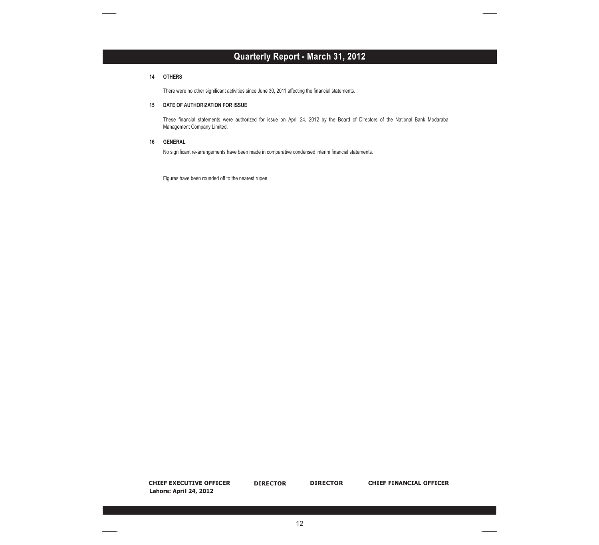#### **14 OTHERS**

There were no other significant activities since June 30, 2011 affecting the financial statements.

#### **15 DATE OF AUTHORIZATION FOR ISSUE**

These financial statements were authorized for issue on April 24, 2012 by the Board of Directors of the National Bank Modaraba Management Company Limited.

#### **16 GENERAL**

No significant re-arrangements have been made in comparative condensed interim financial statements.

Figures have been rounded off to the nearest rupee.

**CHIEF EXECUTIVE OFFICER DIRECTOR DIRECTOR CHIEF FINANCIAL OFFICER Lahore: April 24, 2012**

**DIRECTOR**